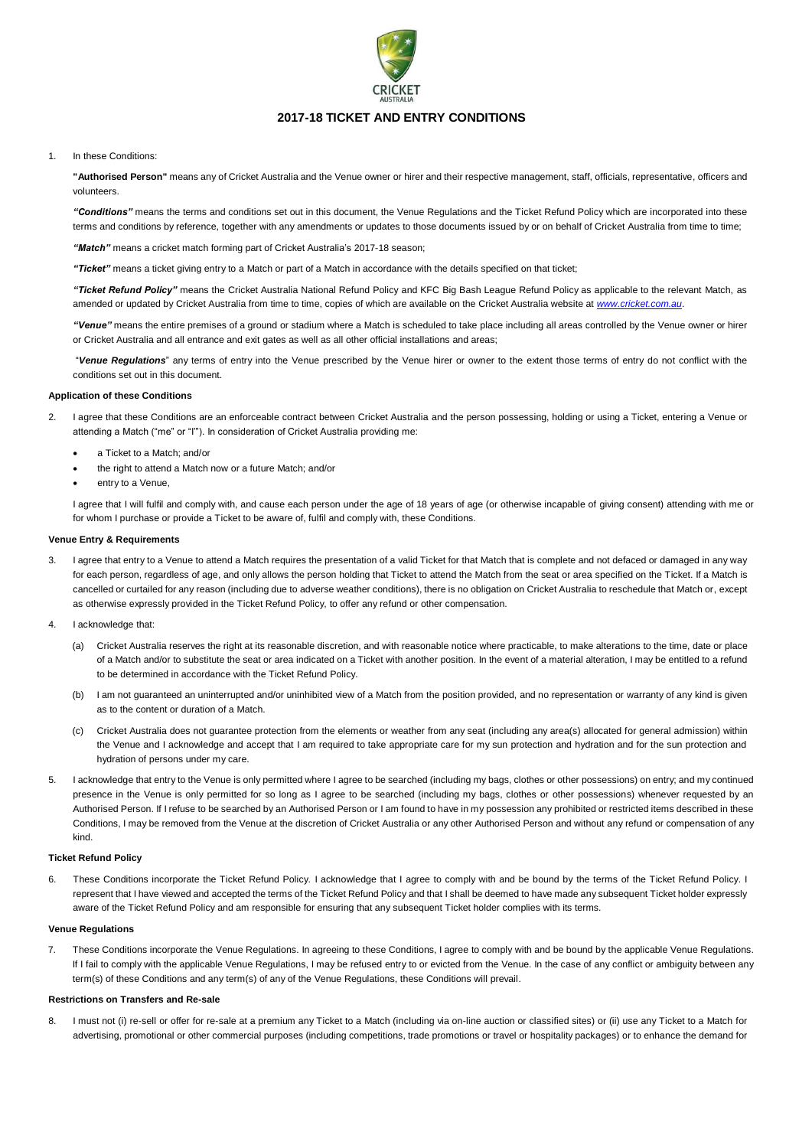

# **2017-18 TICKET AND ENTRY CONDITIONS**

## 1. In these Conditions:

**"Authorised Person"** means any of Cricket Australia and the Venue owner or hirer and their respective management, staff, officials, representative, officers and volunteers.

*"Conditions"* means the terms and conditions set out in this document, the Venue Regulations and the Ticket Refund Policy which are incorporated into these terms and conditions by reference, together with any amendments or updates to those documents issued by or on behalf of Cricket Australia from time to time;

*"Match"* means a cricket match forming part of Cricket Australia's 2017-18 season;

*"Ticket"* means a ticket giving entry to a Match or part of a Match in accordance with the details specified on that ticket;

*"Ticket Refund Policy"* means the Cricket Australia National Refund Policy and KFC Big Bash League Refund Policy as applicable to the relevant Match, as amended or updated by Cricket Australia from time to time, copies of which are available on the Cricket Australia website at *[www.cricket.com.au](http://www.cricket.com.au/)*.

*"Venue"* means the entire premises of a ground or stadium where a Match is scheduled to take place including all areas controlled by the Venue owner or hirer or Cricket Australia and all entrance and exit gates as well as all other official installations and areas;

"*Venue Regulations*" any terms of entry into the Venue prescribed by the Venue hirer or owner to the extent those terms of entry do not conflict with the conditions set out in this document.

#### **Application of these Conditions**

- 2. I agree that these Conditions are an enforceable contract between Cricket Australia and the person possessing, holding or using a Ticket, entering a Venue or attending a Match ("me" or "I'"). In consideration of Cricket Australia providing me:
	- a Ticket to a Match; and/or
	- the right to attend a Match now or a future Match; and/or
	- entry to a Venue,

I agree that I will fulfil and comply with, and cause each person under the age of 18 years of age (or otherwise incapable of giving consent) attending with me or for whom I purchase or provide a Ticket to be aware of, fulfil and comply with, these Conditions.

#### **Venue Entry & Requirements**

- 3. I agree that entry to a Venue to attend a Match requires the presentation of a valid Ticket for that Match that is complete and not defaced or damaged in any way for each person, regardless of age, and only allows the person holding that Ticket to attend the Match from the seat or area specified on the Ticket. If a Match is cancelled or curtailed for any reason (including due to adverse weather conditions), there is no obligation on Cricket Australia to reschedule that Match or, except as otherwise expressly provided in the Ticket Refund Policy, to offer any refund or other compensation.
- 4. I acknowledge that:
	- (a) Cricket Australia reserves the right at its reasonable discretion, and with reasonable notice where practicable, to make alterations to the time, date or place of a Match and/or to substitute the seat or area indicated on a Ticket with another position. In the event of a material alteration, I may be entitled to a refund to be determined in accordance with the Ticket Refund Policy.
	- (b) I am not guaranteed an uninterrupted and/or uninhibited view of a Match from the position provided, and no representation or warranty of any kind is given as to the content or duration of a Match.
	- (c) Cricket Australia does not guarantee protection from the elements or weather from any seat (including any area(s) allocated for general admission) within the Venue and I acknowledge and accept that I am required to take appropriate care for my sun protection and hydration and for the sun protection and hydration of persons under my care.
- 5. I acknowledge that entry to the Venue is only permitted where I agree to be searched (including my bags, clothes or other possessions) on entry; and my continued presence in the Venue is only permitted for so long as I agree to be searched (including my bags, clothes or other possessions) whenever requested by an Authorised Person. If I refuse to be searched by an Authorised Person or I am found to have in my possession any prohibited or restricted items described in these Conditions, I may be removed from the Venue at the discretion of Cricket Australia or any other Authorised Person and without any refund or compensation of any kind.

## **Ticket Refund Policy**

These Conditions incorporate the Ticket Refund Policy. I acknowledge that I agree to comply with and be bound by the terms of the Ticket Refund Policy. I represent that I have viewed and accepted the terms of the Ticket Refund Policy and that I shall be deemed to have made any subsequent Ticket holder expressly aware of the Ticket Refund Policy and am responsible for ensuring that any subsequent Ticket holder complies with its terms.

#### **Venue Regulations**

7. These Conditions incorporate the Venue Regulations. In agreeing to these Conditions, I agree to comply with and be bound by the applicable Venue Regulations. If I fail to comply with the applicable Venue Regulations, I may be refused entry to or evicted from the Venue. In the case of any conflict or ambiguity between any term(s) of these Conditions and any term(s) of any of the Venue Regulations, these Conditions will prevail.

### **Restrictions on Transfers and Re-sale**

8. I must not (i) re-sell or offer for re-sale at a premium any Ticket to a Match (including via on-line auction or classified sites) or (ii) use any Ticket to a Match for advertising, promotional or other commercial purposes (including competitions, trade promotions or travel or hospitality packages) or to enhance the demand for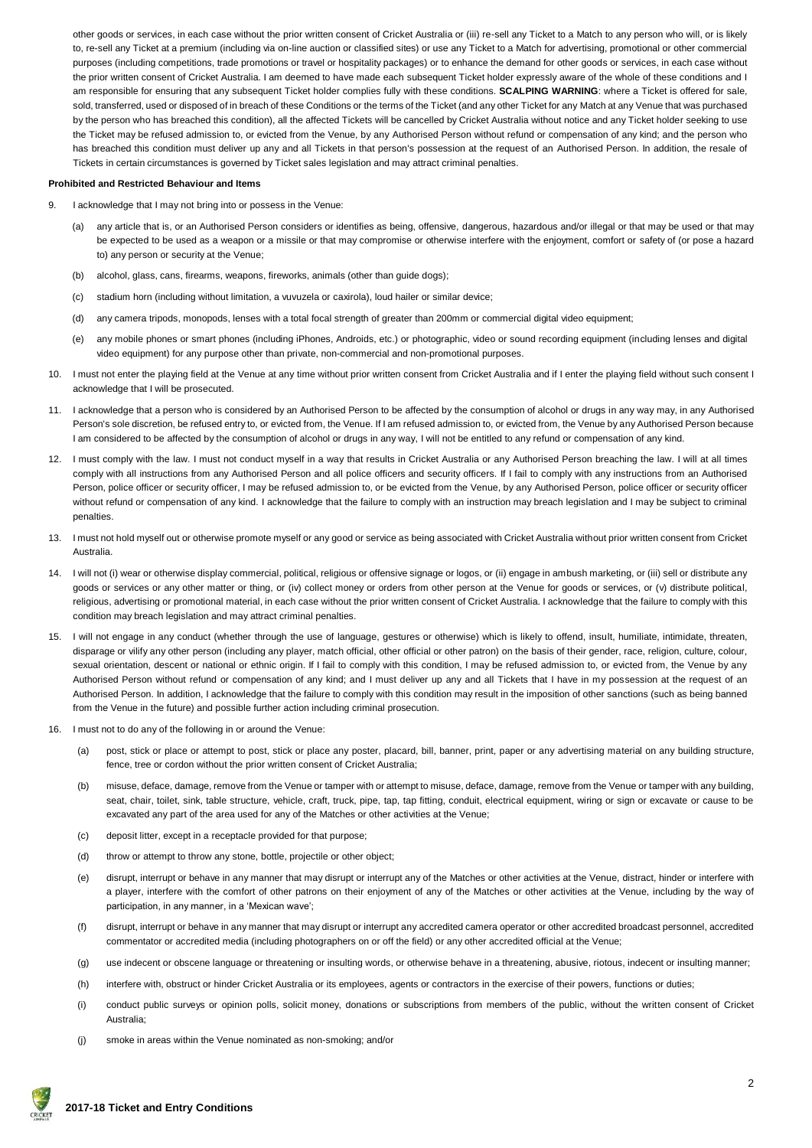other goods or services, in each case without the prior written consent of Cricket Australia or (iii) re-sell any Ticket to a Match to any person who will, or is likely to, re-sell any Ticket at a premium (including via on-line auction or classified sites) or use any Ticket to a Match for advertising, promotional or other commercial purposes (including competitions, trade promotions or travel or hospitality packages) or to enhance the demand for other goods or services, in each case without the prior written consent of Cricket Australia. I am deemed to have made each subsequent Ticket holder expressly aware of the whole of these conditions and I am responsible for ensuring that any subsequent Ticket holder complies fully with these conditions. **SCALPING WARNING**: where a Ticket is offered for sale, sold, transferred, used or disposed of in breach of these Conditions or the terms of the Ticket (and any other Ticket for any Match at any Venue that was purchased by the person who has breached this condition), all the affected Tickets will be cancelled by Cricket Australia without notice and any Ticket holder seeking to use the Ticket may be refused admission to, or evicted from the Venue, by any Authorised Person without refund or compensation of any kind; and the person who has breached this condition must deliver up any and all Tickets in that person's possession at the request of an Authorised Person. In addition, the resale of Tickets in certain circumstances is governed by Ticket sales legislation and may attract criminal penalties.

### **Prohibited and Restricted Behaviour and Items**

- 9. I acknowledge that I may not bring into or possess in the Venue:
	- (a) any article that is, or an Authorised Person considers or identifies as being, offensive, dangerous, hazardous and/or illegal or that may be used or that may be expected to be used as a weapon or a missile or that may compromise or otherwise interfere with the enjoyment, comfort or safety of (or pose a hazard to) any person or security at the Venue;
	- (b) alcohol, glass, cans, firearms, weapons, fireworks, animals (other than guide dogs);
	- (c) stadium horn (including without limitation, a vuvuzela or caxirola), loud hailer or similar device;
	- (d) any camera tripods, monopods, lenses with a total focal strength of greater than 200mm or commercial digital video equipment;
	- (e) any mobile phones or smart phones (including iPhones, Androids, etc.) or photographic, video or sound recording equipment (including lenses and digital video equipment) for any purpose other than private, non-commercial and non-promotional purposes.
- 10. I must not enter the playing field at the Venue at any time without prior written consent from Cricket Australia and if I enter the playing field without such consent I acknowledge that I will be prosecuted.
- 11. I acknowledge that a person who is considered by an Authorised Person to be affected by the consumption of alcohol or drugs in any way may, in any Authorised Person's sole discretion, be refused entry to, or evicted from, the Venue. If I am refused admission to, or evicted from, the Venue by any Authorised Person because I am considered to be affected by the consumption of alcohol or drugs in any way, I will not be entitled to any refund or compensation of any kind.
- 12. I must comply with the law. I must not conduct myself in a way that results in Cricket Australia or any Authorised Person breaching the law. I will at all times comply with all instructions from any Authorised Person and all police officers and security officers. If I fail to comply with any instructions from an Authorised Person, police officer or security officer, I may be refused admission to, or be evicted from the Venue, by any Authorised Person, police officer or security officer without refund or compensation of any kind. I acknowledge that the failure to comply with an instruction may breach legislation and I may be subject to criminal penalties.
- 13. I must not hold myself out or otherwise promote myself or any good or service as being associated with Cricket Australia without prior written consent from Cricket Australia.
- 14. I will not (i) wear or otherwise display commercial, political, religious or offensive signage or logos, or (ii) engage in ambush marketing, or (iii) sell or distribute any goods or services or any other matter or thing, or (iv) collect money or orders from other person at the Venue for goods or services, or (v) distribute political, religious, advertising or promotional material, in each case without the prior written consent of Cricket Australia. I acknowledge that the failure to comply with this condition may breach legislation and may attract criminal penalties.
- 15. I will not engage in any conduct (whether through the use of language, gestures or otherwise) which is likely to offend, insult, humiliate, intimidate, threaten, disparage or vilify any other person (including any player, match official, other official or other patron) on the basis of their gender, race, religion, culture, colour, sexual orientation, descent or national or ethnic origin. If I fail to comply with this condition, I may be refused admission to, or evicted from, the Venue by any Authorised Person without refund or compensation of any kind; and I must deliver up any and all Tickets that I have in my possession at the request of an Authorised Person. In addition, I acknowledge that the failure to comply with this condition may result in the imposition of other sanctions (such as being banned from the Venue in the future) and possible further action including criminal prosecution.
- 16. I must not to do any of the following in or around the Venue:
	- (a) post, stick or place or attempt to post, stick or place any poster, placard, bill, banner, print, paper or any advertising material on any building structure, fence, tree or cordon without the prior written consent of Cricket Australia;
	- (b) misuse, deface, damage, remove from the Venue or tamper with or attempt to misuse, deface, damage, remove from the Venue or tamper with any building, seat, chair, toilet, sink, table structure, vehicle, craft, truck, pipe, tap, tap fitting, conduit, electrical equipment, wiring or sign or excavate or cause to be excavated any part of the area used for any of the Matches or other activities at the Venue;
	- (c) deposit litter, except in a receptacle provided for that purpose;
	- (d) throw or attempt to throw any stone, bottle, projectile or other object;
	- (e) disrupt, interrupt or behave in any manner that may disrupt or interrupt any of the Matches or other activities at the Venue, distract, hinder or interfere with a player, interfere with the comfort of other patrons on their enjoyment of any of the Matches or other activities at the Venue, including by the way of participation, in any manner, in a 'Mexican wave';
	- (f) disrupt, interrupt or behave in any manner that may disrupt or interrupt any accredited camera operator or other accredited broadcast personnel, accredited commentator or accredited media (including photographers on or off the field) or any other accredited official at the Venue;
	- (g) use indecent or obscene language or threatening or insulting words, or otherwise behave in a threatening, abusive, riotous, indecent or insulting manner;
	- (h) interfere with, obstruct or hinder Cricket Australia or its employees, agents or contractors in the exercise of their powers, functions or duties;
	- (i) conduct public surveys or opinion polls, solicit money, donations or subscriptions from members of the public, without the written consent of Cricket Australia;
	- (j) smoke in areas within the Venue nominated as non-smoking; and/or

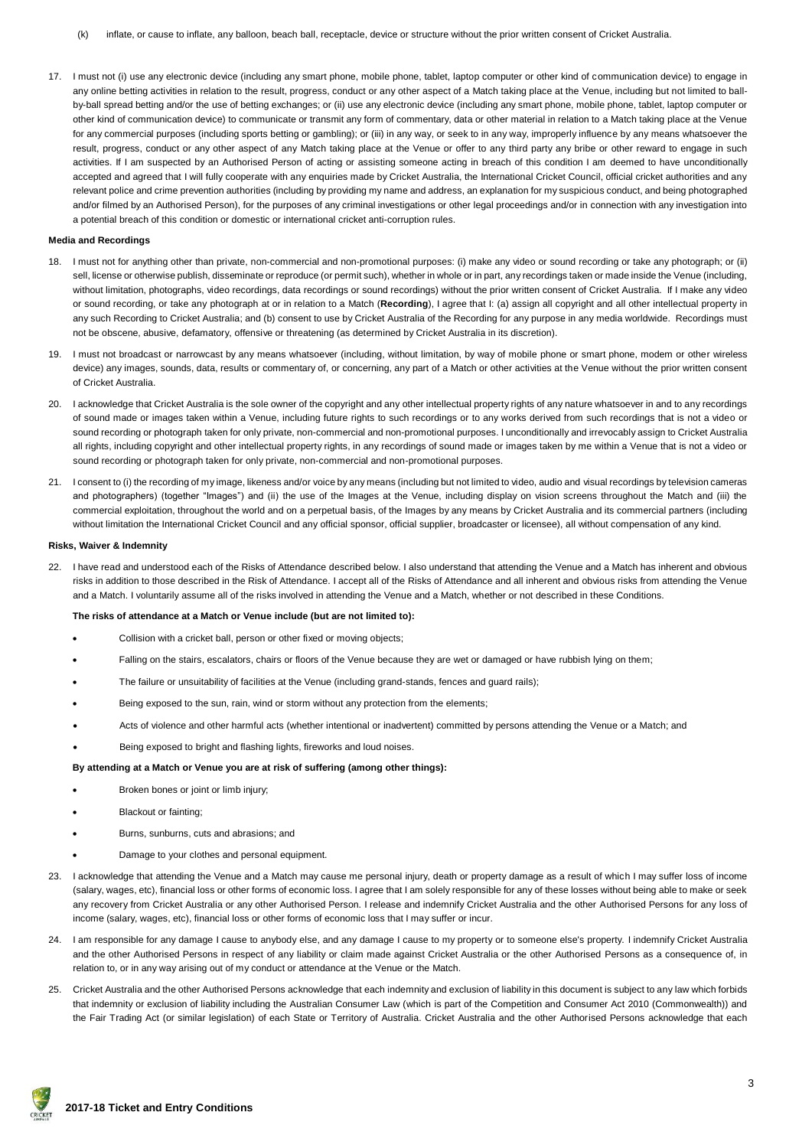17. I must not (i) use any electronic device (including any smart phone, mobile phone, tablet, laptop computer or other kind of communication device) to engage in any online betting activities in relation to the result, progress, conduct or any other aspect of a Match taking place at the Venue, including but not limited to ballby-ball spread betting and/or the use of betting exchanges; or (ii) use any electronic device (including any smart phone, mobile phone, tablet, laptop computer or other kind of communication device) to communicate or transmit any form of commentary, data or other material in relation to a Match taking place at the Venue for any commercial purposes (including sports betting or gambling); or (iii) in any way, or seek to in any way, improperly influence by any means whatsoever the result, progress, conduct or any other aspect of any Match taking place at the Venue or offer to any third party any bribe or other reward to engage in such activities. If I am suspected by an Authorised Person of acting or assisting someone acting in breach of this condition I am deemed to have unconditionally accepted and agreed that I will fully cooperate with any enquiries made by Cricket Australia, the International Cricket Council, official cricket authorities and any relevant police and crime prevention authorities (including by providing my name and address, an explanation for my suspicious conduct, and being photographed and/or filmed by an Authorised Person), for the purposes of any criminal investigations or other legal proceedings and/or in connection with any investigation into a potential breach of this condition or domestic or international cricket anti-corruption rules.

#### **Media and Recordings**

- 18. I must not for anything other than private, non-commercial and non-promotional purposes: (i) make any video or sound recording or take any photograph; or (ii) sell, license or otherwise publish, disseminate or reproduce (or permit such), whether in whole or in part, any recordings taken or made inside the Venue (including, without limitation, photographs, video recordings, data recordings or sound recordings) without the prior written consent of Cricket Australia. If I make any video or sound recording, or take any photograph at or in relation to a Match (**Recording**), I agree that I: (a) assign all copyright and all other intellectual property in any such Recording to Cricket Australia; and (b) consent to use by Cricket Australia of the Recording for any purpose in any media worldwide. Recordings must not be obscene, abusive, defamatory, offensive or threatening (as determined by Cricket Australia in its discretion).
- 19. I must not broadcast or narrowcast by any means whatsoever (including, without limitation, by way of mobile phone or smart phone, modem or other wireless device) any images, sounds, data, results or commentary of, or concerning, any part of a Match or other activities at the Venue without the prior written consent of Cricket Australia.
- 20. I acknowledge that Cricket Australia is the sole owner of the copyright and any other intellectual property rights of any nature whatsoever in and to any recordings of sound made or images taken within a Venue, including future rights to such recordings or to any works derived from such recordings that is not a video or sound recording or photograph taken for only private, non-commercial and non-promotional purposes. I unconditionally and irrevocably assign to Cricket Australia all rights, including copyright and other intellectual property rights, in any recordings of sound made or images taken by me within a Venue that is not a video or sound recording or photograph taken for only private, non-commercial and non-promotional purposes.
- 21. I consent to (i) the recording of my image, likeness and/or voice by any means (including but not limited to video, audio and visual recordings by television cameras and photographers) (together "Images") and (ii) the use of the Images at the Venue, including display on vision screens throughout the Match and (iii) the commercial exploitation, throughout the world and on a perpetual basis, of the Images by any means by Cricket Australia and its commercial partners (including without limitation the International Cricket Council and any official sponsor, official supplier, broadcaster or licensee), all without compensation of any kind.

#### **Risks, Waiver & Indemnity**

22. I have read and understood each of the Risks of Attendance described below. I also understand that attending the Venue and a Match has inherent and obvious risks in addition to those described in the Risk of Attendance. I accept all of the Risks of Attendance and all inherent and obvious risks from attending the Venue and a Match. I voluntarily assume all of the risks involved in attending the Venue and a Match, whether or not described in these Conditions.

### **The risks of attendance at a Match or Venue include (but are not limited to):**

- Collision with a cricket ball, person or other fixed or moving objects;
- Falling on the stairs, escalators, chairs or floors of the Venue because they are wet or damaged or have rubbish lying on them;
- The failure or unsuitability of facilities at the Venue (including grand-stands, fences and guard rails);
- Being exposed to the sun, rain, wind or storm without any protection from the elements;
- Acts of violence and other harmful acts (whether intentional or inadvertent) committed by persons attending the Venue or a Match; and
- Being exposed to bright and flashing lights, fireworks and loud noises.

#### **By attending at a Match or Venue you are at risk of suffering (among other things):**

- Broken bones or joint or limb injury;
- Blackout or fainting;
- Burns, sunburns, cuts and abrasions; and
- Damage to your clothes and personal equipment.
- 23. I acknowledge that attending the Venue and a Match may cause me personal injury, death or property damage as a result of which I may suffer loss of income (salary, wages, etc), financial loss or other forms of economic loss. I agree that I am solely responsible for any of these losses without being able to make or seek any recovery from Cricket Australia or any other Authorised Person. I release and indemnify Cricket Australia and the other Authorised Persons for any loss of income (salary, wages, etc), financial loss or other forms of economic loss that I may suffer or incur.
- 24. I am responsible for any damage I cause to anybody else, and any damage I cause to my property or to someone else's property. I indemnify Cricket Australia and the other Authorised Persons in respect of any liability or claim made against Cricket Australia or the other Authorised Persons as a consequence of, in relation to, or in any way arising out of my conduct or attendance at the Venue or the Match.
- 25. Cricket Australia and the other Authorised Persons acknowledge that each indemnity and exclusion of liability in this document is subject to any law which forbids that indemnity or exclusion of liability including the Australian Consumer Law (which is part of the Competition and Consumer Act 2010 (Commonwealth)) and the Fair Trading Act (or similar legislation) of each State or Territory of Australia. Cricket Australia and the other Authorised Persons acknowledge that each